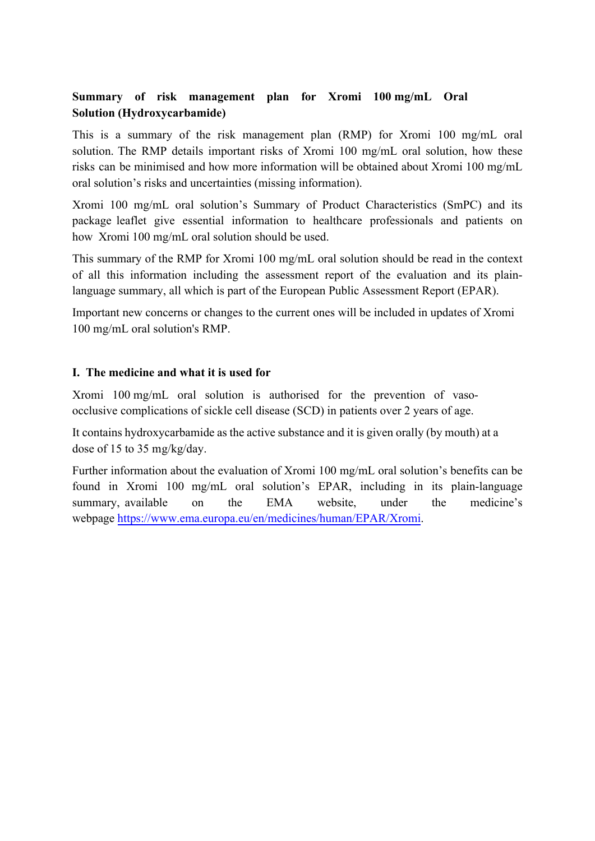# Summary of risk management plan for Xromi 100 mg/mL Oral **Solution (Hydroxycarbamide)**

This is a summary of the risk management plan (RMP) for Xromi 100 mg/mL oral solution. The RMP details important risks of Xromi 100 mg/mL oral solution, how these risks can be minimised and how more information will be obtained about Xromi 100 mg/mL oral solution's risks and uncertainties (missing information).

Xromi 100 mg/mL oral solution's Summary of Product Characteristics (SmPC) and its package leaflet give essential information to healthcare professionals and patients on how Xromi 100 mg/mL oral solution should be used.

This summary of the RMP for Xromi 100 mg/mL oral solution should be read in the context of all this information including the assessment report of the evaluation and its plainlanguage summary, all which is part of the European Public Assessment Report (EPAR).

Important new concerns or changes to the current ones will be included in updates of Xromi 100 mg/mL oral solution's RMP.

## I. The medicine and what it is used for

Xromi 100 mg/mL oral solution is authorised for the prevention of vasoocclusive complications of sickle cell disease (SCD) in patients over 2 years of age.

It contains hydroxycarbamide as the active substance and it is given orally (by mouth) at a dose of 15 to 35 mg/kg/day.

Further information about the evaluation of Xromi 100 mg/mL oral solution's benefits can be found in Xromi 100 mg/mL oral solution's EPAR, including in its plain-language summary, available the  $EMA$ website. under the medicine's  $\alpha$ webpage https://www.ema.europa.eu/en/medicines/human/EPAR/Xromi.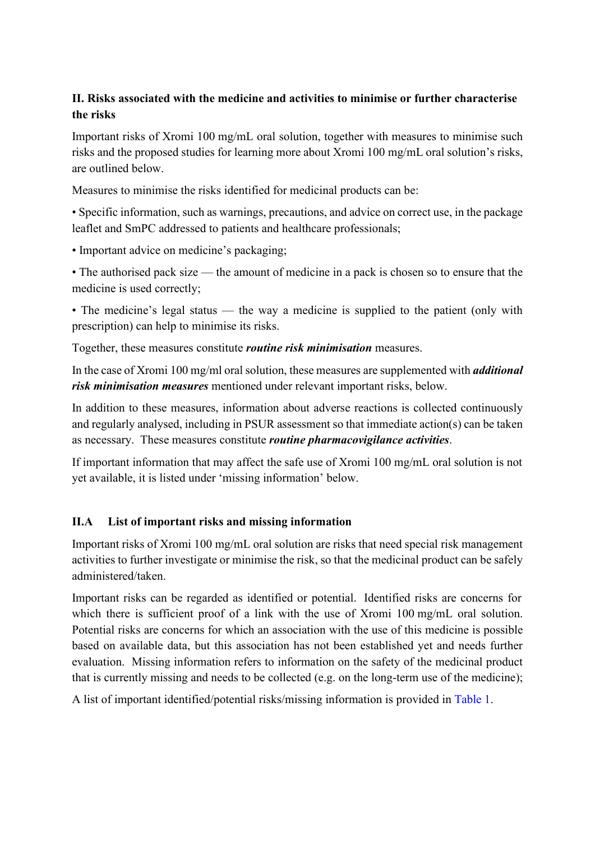# II. Risks associated with the medicine and activities to minimise or further characterise the risks

Important risks of Xromi 100 mg/mL oral solution, together with measures to minimise such risks and the proposed studies for learning more about Xromi 100 mg/mL oral solution's risks, are outlined below.

Measures to minimise the risks identified for medicinal products can be:

• Specific information, such as warnings, precautions, and advice on correct use, in the package leaflet and SmPC addressed to patients and healthcare professionals;

• Important advice on medicine's packaging;

• The authorised pack size — the amount of medicine in a pack is chosen so to ensure that the medicine is used correctly;

• The medicine's legal status — the way a medicine is supplied to the patient (only with prescription) can help to minimise its risks.

Together, these measures constitute *routine* risk *minimisation* measures.

In the case of Xromi 100 mg/ml oral solution, these measures are supplemented with *additional* risk minimisation measures mentioned under relevant important risks, below.

In addition to these measures, information about adverse reactions is collected continuously and regularly analysed, including in PSUR assessment so that immediate action(s) can be taken as necessary. These measures constitute *routine pharmacovigilance activities*.

If important information that may affect the safe use of Xromi 100 mg/mL oral solution is not yet available, it is listed under 'missing information' below.

#### $\Pi.A$ List of important risks and missing information

Important risks of Xromi 100 mg/mL oral solution are risks that need special risk management activities to further investigate or minimise the risk, so that the medicinal product can be safely administered/taken.

Important risks can be regarded as identified or potential. Identified risks are concerns for which there is sufficient proof of a link with the use of Xromi 100 mg/mL oral solution. Potential risks are concerns for which an association with the use of this medicine is possible based on available data, but this association has not been established yet and needs further evaluation. Missing information refers to information on the safety of the medicinal product that is currently missing and needs to be collected (e.g. on the long-term use of the medicine);

A list of important identified/potential risks/missing information is provided in Table 1.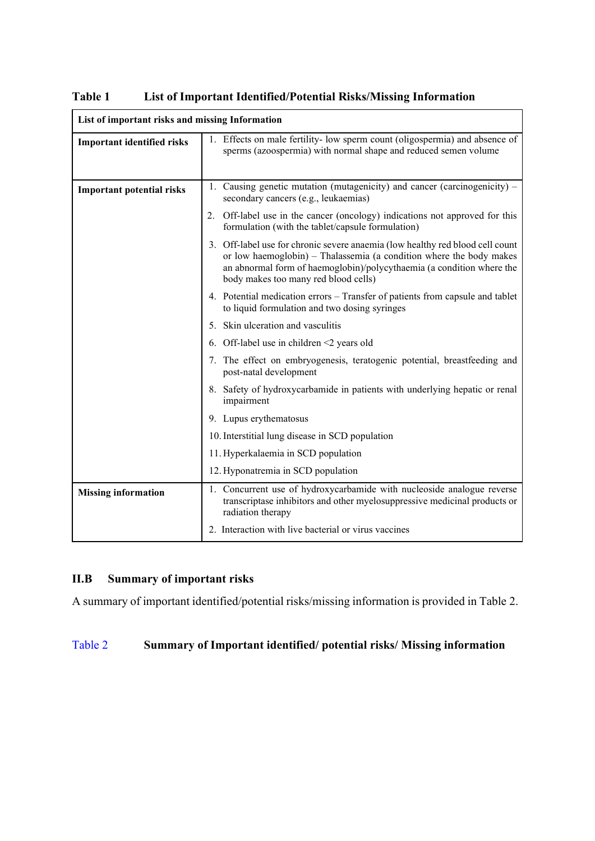| List of important risks and missing Information |                                                                                                                                                                                                                                                                       |  |
|-------------------------------------------------|-----------------------------------------------------------------------------------------------------------------------------------------------------------------------------------------------------------------------------------------------------------------------|--|
| <b>Important identified risks</b>               | 1. Effects on male fertility- low sperm count (oligospermia) and absence of<br>sperms (azoospermia) with normal shape and reduced semen volume                                                                                                                        |  |
| <b>Important potential risks</b>                | 1. Causing genetic mutation (mutagenicity) and cancer (carcinogenicity) –<br>secondary cancers (e.g., leukaemias)                                                                                                                                                     |  |
|                                                 | 2. Off-label use in the cancer (oncology) indications not approved for this<br>formulation (with the tablet/capsule formulation)                                                                                                                                      |  |
|                                                 | 3. Off-label use for chronic severe anaemia (low healthy red blood cell count<br>or low haemoglobin) - Thalassemia (a condition where the body makes<br>an abnormal form of haemoglobin)/polycythaemia (a condition where the<br>body makes too many red blood cells) |  |
|                                                 | 4. Potential medication errors - Transfer of patients from capsule and tablet<br>to liquid formulation and two dosing syringes                                                                                                                                        |  |
|                                                 | 5. Skin ulceration and vasculitis                                                                                                                                                                                                                                     |  |
|                                                 | 6. Off-label use in children $\leq$ years old                                                                                                                                                                                                                         |  |
|                                                 | 7. The effect on embryogenesis, teratogenic potential, breastfeeding and<br>post-natal development                                                                                                                                                                    |  |
|                                                 | 8. Safety of hydroxycarbamide in patients with underlying hepatic or renal<br>impairment                                                                                                                                                                              |  |
|                                                 | 9. Lupus erythematosus                                                                                                                                                                                                                                                |  |
|                                                 | 10. Interstitial lung disease in SCD population                                                                                                                                                                                                                       |  |
|                                                 | 11. Hyperkalaemia in SCD population                                                                                                                                                                                                                                   |  |
|                                                 | 12. Hyponatremia in SCD population                                                                                                                                                                                                                                    |  |
| <b>Missing information</b>                      | 1. Concurrent use of hydroxycarbamide with nucleoside analogue reverse<br>transcriptase inhibitors and other myelosuppressive medicinal products or<br>radiation therapy                                                                                              |  |
|                                                 | 2. Interaction with live bacterial or virus vaccines                                                                                                                                                                                                                  |  |

Table 1 List of Important Identified/Potential Risks/Missing Information

#### Summary of important risks  $II.B$

A summary of important identified/potential risks/missing information is provided in Table 2.

### Summary of Important identified/potential risks/Missing information Table 2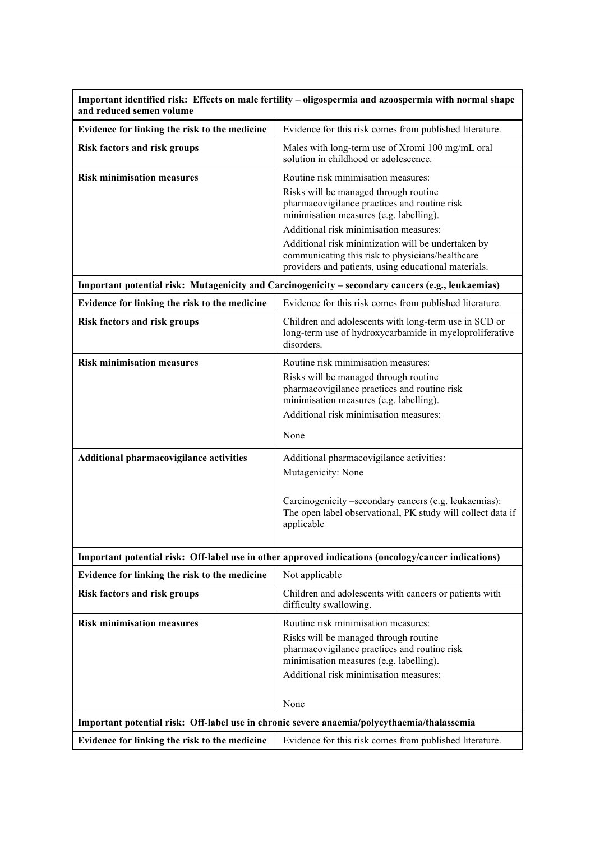| Important identified risk: Effects on male fertility – oligospermia and azoospermia with normal shape<br>and reduced semen volume |                                                                                                                                                                                                                                                                                                                                                                                     |  |
|-----------------------------------------------------------------------------------------------------------------------------------|-------------------------------------------------------------------------------------------------------------------------------------------------------------------------------------------------------------------------------------------------------------------------------------------------------------------------------------------------------------------------------------|--|
| Evidence for linking the risk to the medicine                                                                                     | Evidence for this risk comes from published literature.                                                                                                                                                                                                                                                                                                                             |  |
| <b>Risk factors and risk groups</b>                                                                                               | Males with long-term use of Xromi 100 mg/mL oral<br>solution in childhood or adolescence.                                                                                                                                                                                                                                                                                           |  |
| <b>Risk minimisation measures</b>                                                                                                 | Routine risk minimisation measures:<br>Risks will be managed through routine<br>pharmacovigilance practices and routine risk<br>minimisation measures (e.g. labelling).<br>Additional risk minimisation measures:<br>Additional risk minimization will be undertaken by<br>communicating this risk to physicians/healthcare<br>providers and patients, using educational materials. |  |
| Important potential risk: Mutagenicity and Carcinogenicity - secondary cancers (e.g., leukaemias)                                 |                                                                                                                                                                                                                                                                                                                                                                                     |  |
| Evidence for linking the risk to the medicine                                                                                     | Evidence for this risk comes from published literature.                                                                                                                                                                                                                                                                                                                             |  |
| <b>Risk factors and risk groups</b>                                                                                               | Children and adolescents with long-term use in SCD or<br>long-term use of hydroxycarbamide in myeloproliferative<br>disorders.                                                                                                                                                                                                                                                      |  |
| <b>Risk minimisation measures</b>                                                                                                 | Routine risk minimisation measures:<br>Risks will be managed through routine<br>pharmacovigilance practices and routine risk<br>minimisation measures (e.g. labelling).<br>Additional risk minimisation measures:<br>None                                                                                                                                                           |  |
| Additional pharmacovigilance activities                                                                                           | Additional pharmacovigilance activities:<br>Mutagenicity: None<br>Carcinogenicity -secondary cancers (e.g. leukaemias):<br>The open label observational, PK study will collect data if<br>applicable                                                                                                                                                                                |  |
|                                                                                                                                   | Important potential risk: Off-label use in other approved indications (oncology/cancer indications)                                                                                                                                                                                                                                                                                 |  |
| Evidence for linking the risk to the medicine                                                                                     | Not applicable                                                                                                                                                                                                                                                                                                                                                                      |  |
| <b>Risk factors and risk groups</b>                                                                                               | Children and adolescents with cancers or patients with<br>difficulty swallowing.                                                                                                                                                                                                                                                                                                    |  |
| <b>Risk minimisation measures</b>                                                                                                 | Routine risk minimisation measures:<br>Risks will be managed through routine<br>pharmacovigilance practices and routine risk<br>minimisation measures (e.g. labelling).<br>Additional risk minimisation measures:<br>None                                                                                                                                                           |  |
| Important potential risk: Off-label use in chronic severe anaemia/polycythaemia/thalassemia                                       |                                                                                                                                                                                                                                                                                                                                                                                     |  |
| Evidence for linking the risk to the medicine                                                                                     | Evidence for this risk comes from published literature.                                                                                                                                                                                                                                                                                                                             |  |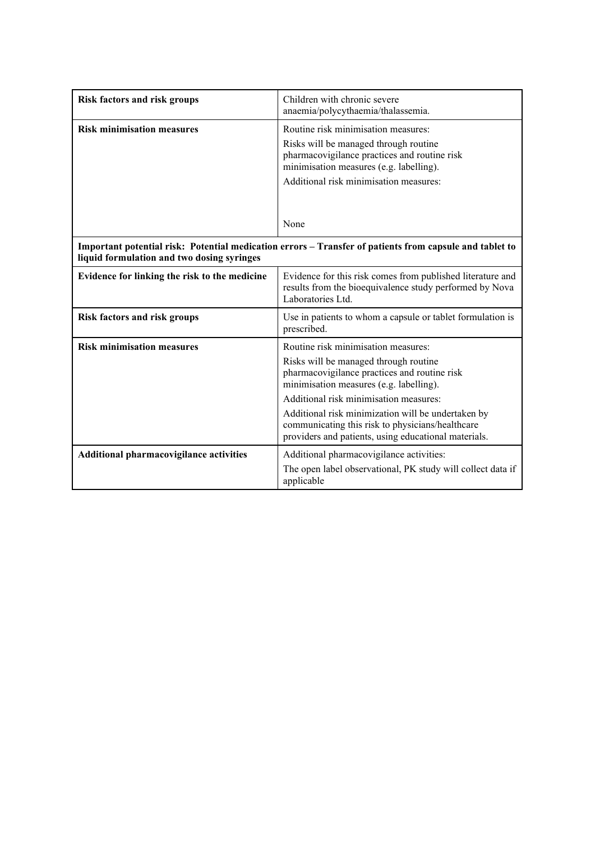| <b>Risk factors and risk groups</b>                                                                                                                   | Children with chronic severe<br>anaemia/polycythaemia/thalassemia.                                                                                                                                                                                                                                                                                                                  |  |
|-------------------------------------------------------------------------------------------------------------------------------------------------------|-------------------------------------------------------------------------------------------------------------------------------------------------------------------------------------------------------------------------------------------------------------------------------------------------------------------------------------------------------------------------------------|--|
| <b>Risk minimisation measures</b>                                                                                                                     | Routine risk minimisation measures:<br>Risks will be managed through routine<br>pharmacovigilance practices and routine risk<br>minimisation measures (e.g. labelling).<br>Additional risk minimisation measures:                                                                                                                                                                   |  |
|                                                                                                                                                       | None                                                                                                                                                                                                                                                                                                                                                                                |  |
| Important potential risk: Potential medication errors – Transfer of patients from capsule and tablet to<br>liquid formulation and two dosing syringes |                                                                                                                                                                                                                                                                                                                                                                                     |  |
| Evidence for linking the risk to the medicine                                                                                                         | Evidence for this risk comes from published literature and<br>results from the bioequivalence study performed by Nova<br>Laboratories Ltd.                                                                                                                                                                                                                                          |  |
| <b>Risk factors and risk groups</b>                                                                                                                   | Use in patients to whom a capsule or tablet formulation is<br>prescribed.                                                                                                                                                                                                                                                                                                           |  |
| <b>Risk minimisation measures</b>                                                                                                                     | Routine risk minimisation measures:<br>Risks will be managed through routine<br>pharmacovigilance practices and routine risk<br>minimisation measures (e.g. labelling).<br>Additional risk minimisation measures:<br>Additional risk minimization will be undertaken by<br>communicating this risk to physicians/healthcare<br>providers and patients, using educational materials. |  |
| <b>Additional pharmacovigilance activities</b>                                                                                                        | Additional pharmacovigilance activities:<br>The open label observational, PK study will collect data if<br>applicable                                                                                                                                                                                                                                                               |  |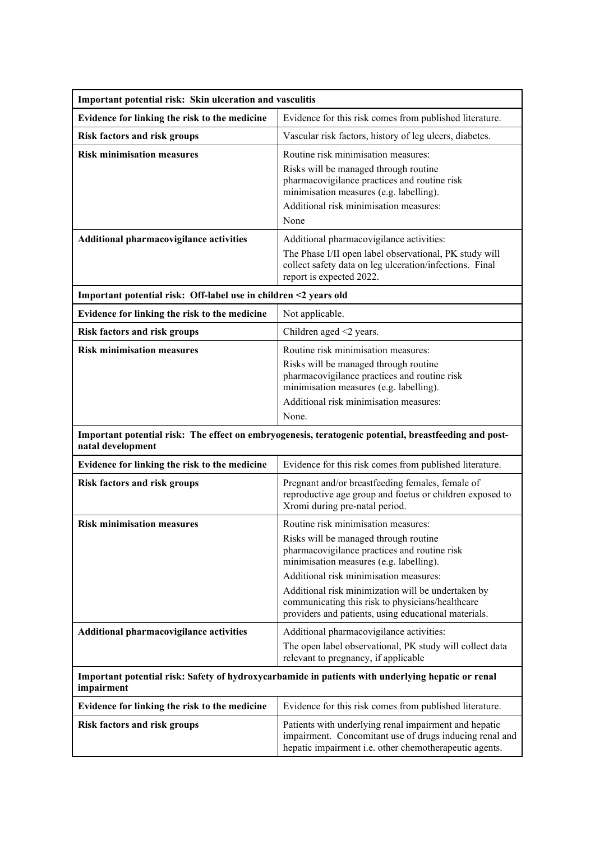| Important potential risk: Skin ulceration and vasculitis                                                                   |                                                                                                                                                                                                                                                                                                                                                                                     |  |  |
|----------------------------------------------------------------------------------------------------------------------------|-------------------------------------------------------------------------------------------------------------------------------------------------------------------------------------------------------------------------------------------------------------------------------------------------------------------------------------------------------------------------------------|--|--|
| Evidence for linking the risk to the medicine                                                                              | Evidence for this risk comes from published literature.                                                                                                                                                                                                                                                                                                                             |  |  |
| <b>Risk factors and risk groups</b>                                                                                        | Vascular risk factors, history of leg ulcers, diabetes.                                                                                                                                                                                                                                                                                                                             |  |  |
| <b>Risk minimisation measures</b>                                                                                          | Routine risk minimisation measures:<br>Risks will be managed through routine<br>pharmacovigilance practices and routine risk<br>minimisation measures (e.g. labelling).<br>Additional risk minimisation measures:<br>None                                                                                                                                                           |  |  |
| <b>Additional pharmacovigilance activities</b>                                                                             | Additional pharmacovigilance activities:<br>The Phase I/II open label observational, PK study will<br>collect safety data on leg ulceration/infections. Final<br>report is expected 2022.                                                                                                                                                                                           |  |  |
| Important potential risk: Off-label use in children <2 years old                                                           |                                                                                                                                                                                                                                                                                                                                                                                     |  |  |
| Evidence for linking the risk to the medicine                                                                              | Not applicable.                                                                                                                                                                                                                                                                                                                                                                     |  |  |
| <b>Risk factors and risk groups</b>                                                                                        | Children aged <2 years.                                                                                                                                                                                                                                                                                                                                                             |  |  |
| <b>Risk minimisation measures</b>                                                                                          | Routine risk minimisation measures:<br>Risks will be managed through routine<br>pharmacovigilance practices and routine risk<br>minimisation measures (e.g. labelling).<br>Additional risk minimisation measures:<br>None.                                                                                                                                                          |  |  |
| Important potential risk: The effect on embryogenesis, teratogenic potential, breastfeeding and post-<br>natal development |                                                                                                                                                                                                                                                                                                                                                                                     |  |  |
| Evidence for linking the risk to the medicine                                                                              | Evidence for this risk comes from published literature.                                                                                                                                                                                                                                                                                                                             |  |  |
| <b>Risk factors and risk groups</b>                                                                                        | Pregnant and/or breastfeeding females, female of<br>reproductive age group and foetus or children exposed to<br>Xromi during pre-natal period.                                                                                                                                                                                                                                      |  |  |
| <b>Risk minimisation measures</b>                                                                                          | Routine risk minimisation measures:<br>Risks will be managed through routine<br>pharmacovigilance practices and routine risk<br>minimisation measures (e.g. labelling).<br>Additional risk minimisation measures:<br>Additional risk minimization will be undertaken by<br>communicating this risk to physicians/healthcare<br>providers and patients, using educational materials. |  |  |
| Additional pharmacovigilance activities                                                                                    | Additional pharmacovigilance activities:<br>The open label observational, PK study will collect data<br>relevant to pregnancy, if applicable                                                                                                                                                                                                                                        |  |  |
| Important potential risk: Safety of hydroxycarbamide in patients with underlying hepatic or renal<br>impairment            |                                                                                                                                                                                                                                                                                                                                                                                     |  |  |
| Evidence for linking the risk to the medicine                                                                              | Evidence for this risk comes from published literature.                                                                                                                                                                                                                                                                                                                             |  |  |
| <b>Risk factors and risk groups</b>                                                                                        | Patients with underlying renal impairment and hepatic<br>impairment. Concomitant use of drugs inducing renal and<br>hepatic impairment i.e. other chemotherapeutic agents.                                                                                                                                                                                                          |  |  |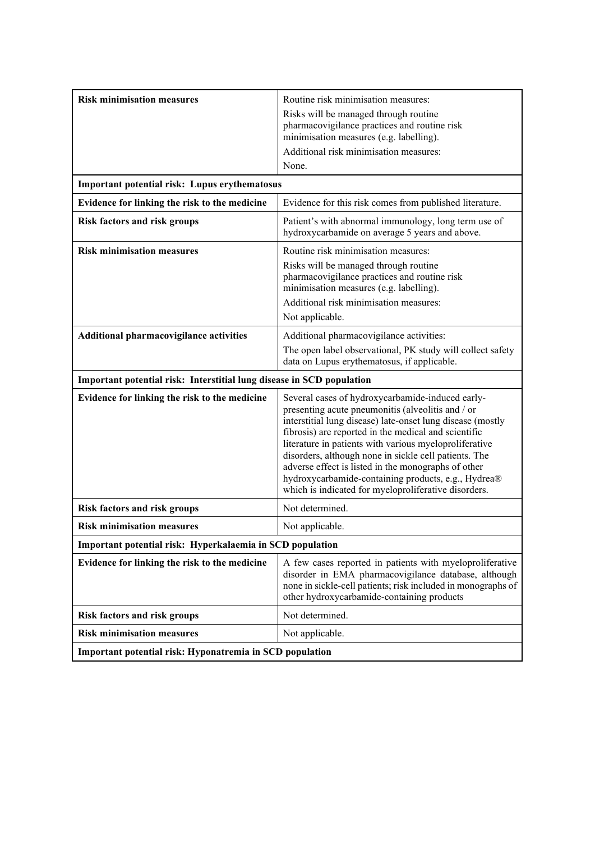| <b>Risk minimisation measures</b>                                     | Routine risk minimisation measures:<br>Risks will be managed through routine<br>pharmacovigilance practices and routine risk<br>minimisation measures (e.g. labelling).<br>Additional risk minimisation measures:<br>None.                                                                                                                                                                                                                                                                                           |  |  |
|-----------------------------------------------------------------------|----------------------------------------------------------------------------------------------------------------------------------------------------------------------------------------------------------------------------------------------------------------------------------------------------------------------------------------------------------------------------------------------------------------------------------------------------------------------------------------------------------------------|--|--|
| Important potential risk: Lupus erythematosus                         |                                                                                                                                                                                                                                                                                                                                                                                                                                                                                                                      |  |  |
| Evidence for linking the risk to the medicine                         | Evidence for this risk comes from published literature.                                                                                                                                                                                                                                                                                                                                                                                                                                                              |  |  |
| <b>Risk factors and risk groups</b>                                   | Patient's with abnormal immunology, long term use of<br>hydroxycarbamide on average 5 years and above.                                                                                                                                                                                                                                                                                                                                                                                                               |  |  |
| <b>Risk minimisation measures</b>                                     | Routine risk minimisation measures:<br>Risks will be managed through routine<br>pharmacovigilance practices and routine risk<br>minimisation measures (e.g. labelling).<br>Additional risk minimisation measures:<br>Not applicable.                                                                                                                                                                                                                                                                                 |  |  |
| Additional pharmacovigilance activities                               | Additional pharmacovigilance activities:<br>The open label observational, PK study will collect safety<br>data on Lupus erythematosus, if applicable.                                                                                                                                                                                                                                                                                                                                                                |  |  |
| Important potential risk: Interstitial lung disease in SCD population |                                                                                                                                                                                                                                                                                                                                                                                                                                                                                                                      |  |  |
| Evidence for linking the risk to the medicine                         | Several cases of hydroxycarbamide-induced early-<br>presenting acute pneumonitis (alveolitis and / or<br>interstitial lung disease) late-onset lung disease (mostly<br>fibrosis) are reported in the medical and scientific<br>literature in patients with various myeloproliferative<br>disorders, although none in sickle cell patients. The<br>adverse effect is listed in the monographs of other<br>hydroxycarbamide-containing products, e.g., Hydrea®<br>which is indicated for myeloproliferative disorders. |  |  |
| <b>Risk factors and risk groups</b>                                   | Not determined.                                                                                                                                                                                                                                                                                                                                                                                                                                                                                                      |  |  |
| <b>Risk minimisation measures</b>                                     | Not applicable.                                                                                                                                                                                                                                                                                                                                                                                                                                                                                                      |  |  |
| Important potential risk: Hyperkalaemia in SCD population             |                                                                                                                                                                                                                                                                                                                                                                                                                                                                                                                      |  |  |
| Evidence for linking the risk to the medicine                         | A few cases reported in patients with myeloproliferative<br>disorder in EMA pharmacovigilance database, although<br>none in sickle-cell patients; risk included in monographs of<br>other hydroxycarbamide-containing products                                                                                                                                                                                                                                                                                       |  |  |
| <b>Risk factors and risk groups</b>                                   | Not determined.                                                                                                                                                                                                                                                                                                                                                                                                                                                                                                      |  |  |
| <b>Risk minimisation measures</b>                                     | Not applicable.                                                                                                                                                                                                                                                                                                                                                                                                                                                                                                      |  |  |
| Important potential risk: Hyponatremia in SCD population              |                                                                                                                                                                                                                                                                                                                                                                                                                                                                                                                      |  |  |